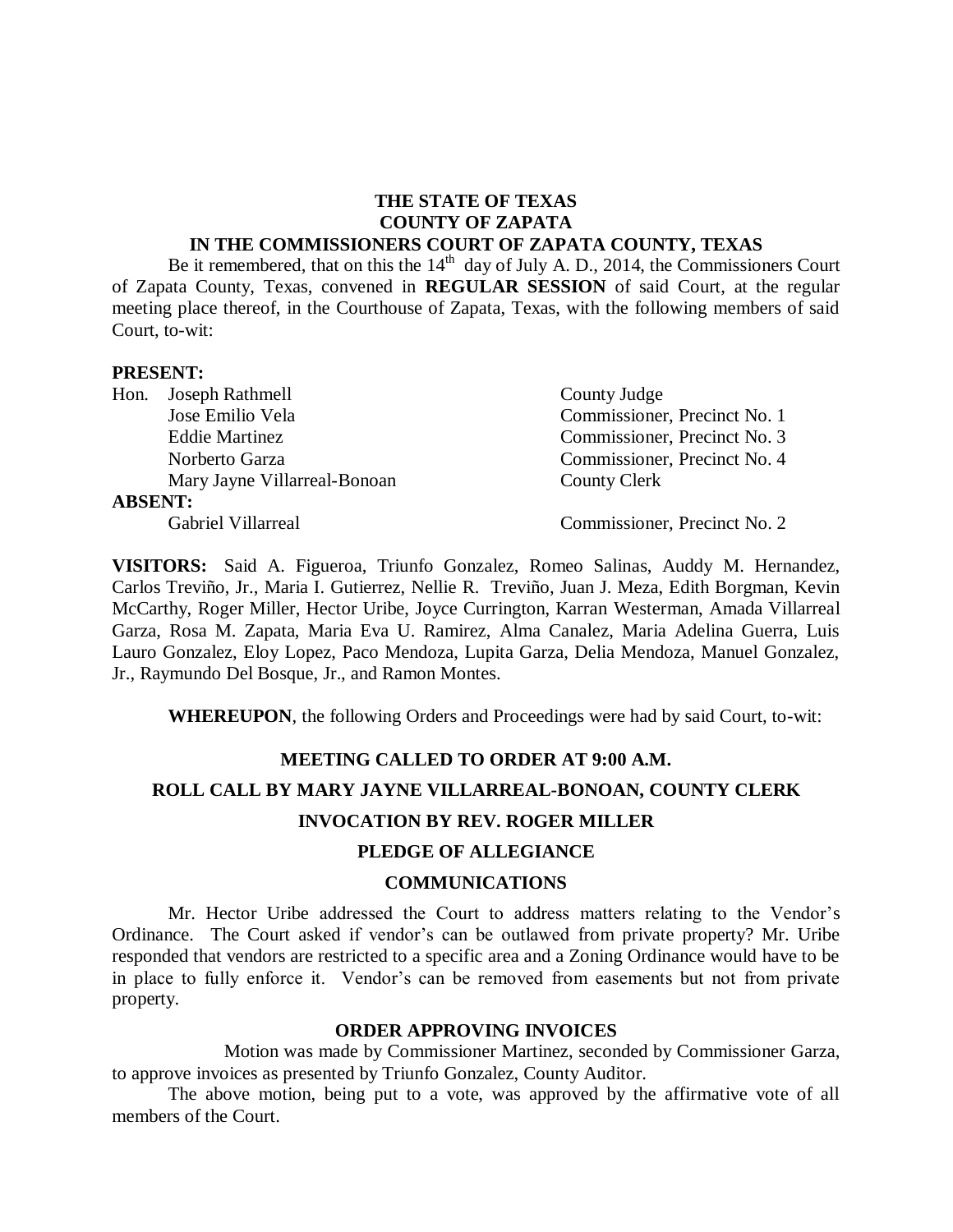#### **THE STATE OF TEXAS COUNTY OF ZAPATA IN THE COMMISSIONERS COURT OF ZAPATA COUNTY, TEXAS**

Be it remembered, that on this the  $14<sup>th</sup>$  day of July A. D., 2014, the Commissioners Court of Zapata County, Texas, convened in **REGULAR SESSION** of said Court, at the regular meeting place thereof, in the Courthouse of Zapata, Texas, with the following members of said Court, to-wit:

#### **PRESENT:**

|                | Hon. Joseph Rathmell         | County Judge                 |
|----------------|------------------------------|------------------------------|
|                | Jose Emilio Vela             | Commissioner, Precinct No. 1 |
|                | <b>Eddie Martinez</b>        | Commissioner, Precinct No. 3 |
|                | Norberto Garza               | Commissioner, Precinct No. 4 |
|                | Mary Jayne Villarreal-Bonoan | County Clerk                 |
| <b>ABSENT:</b> |                              |                              |
|                | Gabriel Villarreal           | Commissioner, Precinct No. 2 |

**VISITORS:** Said A. Figueroa, Triunfo Gonzalez, Romeo Salinas, Auddy M. Hernandez, Carlos Treviño, Jr., Maria I. Gutierrez, Nellie R. Treviño, Juan J. Meza, Edith Borgman, Kevin McCarthy, Roger Miller, Hector Uribe, Joyce Currington, Karran Westerman, Amada Villarreal Garza, Rosa M. Zapata, Maria Eva U. Ramirez, Alma Canalez, Maria Adelina Guerra, Luis Lauro Gonzalez, Eloy Lopez, Paco Mendoza, Lupita Garza, Delia Mendoza, Manuel Gonzalez, Jr., Raymundo Del Bosque, Jr., and Ramon Montes.

**WHEREUPON**, the following Orders and Proceedings were had by said Court, to-wit:

#### **MEETING CALLED TO ORDER AT 9:00 A.M.**

# **ROLL CALL BY MARY JAYNE VILLARREAL-BONOAN, COUNTY CLERK INVOCATION BY REV. ROGER MILLER**

## **PLEDGE OF ALLEGIANCE**

#### **COMMUNICATIONS**

Mr. Hector Uribe addressed the Court to address matters relating to the Vendor's Ordinance. The Court asked if vendor's can be outlawed from private property? Mr. Uribe responded that vendors are restricted to a specific area and a Zoning Ordinance would have to be in place to fully enforce it. Vendor's can be removed from easements but not from private property.

#### **ORDER APPROVING INVOICES**

Motion was made by Commissioner Martinez, seconded by Commissioner Garza, to approve invoices as presented by Triunfo Gonzalez, County Auditor.

The above motion, being put to a vote, was approved by the affirmative vote of all members of the Court.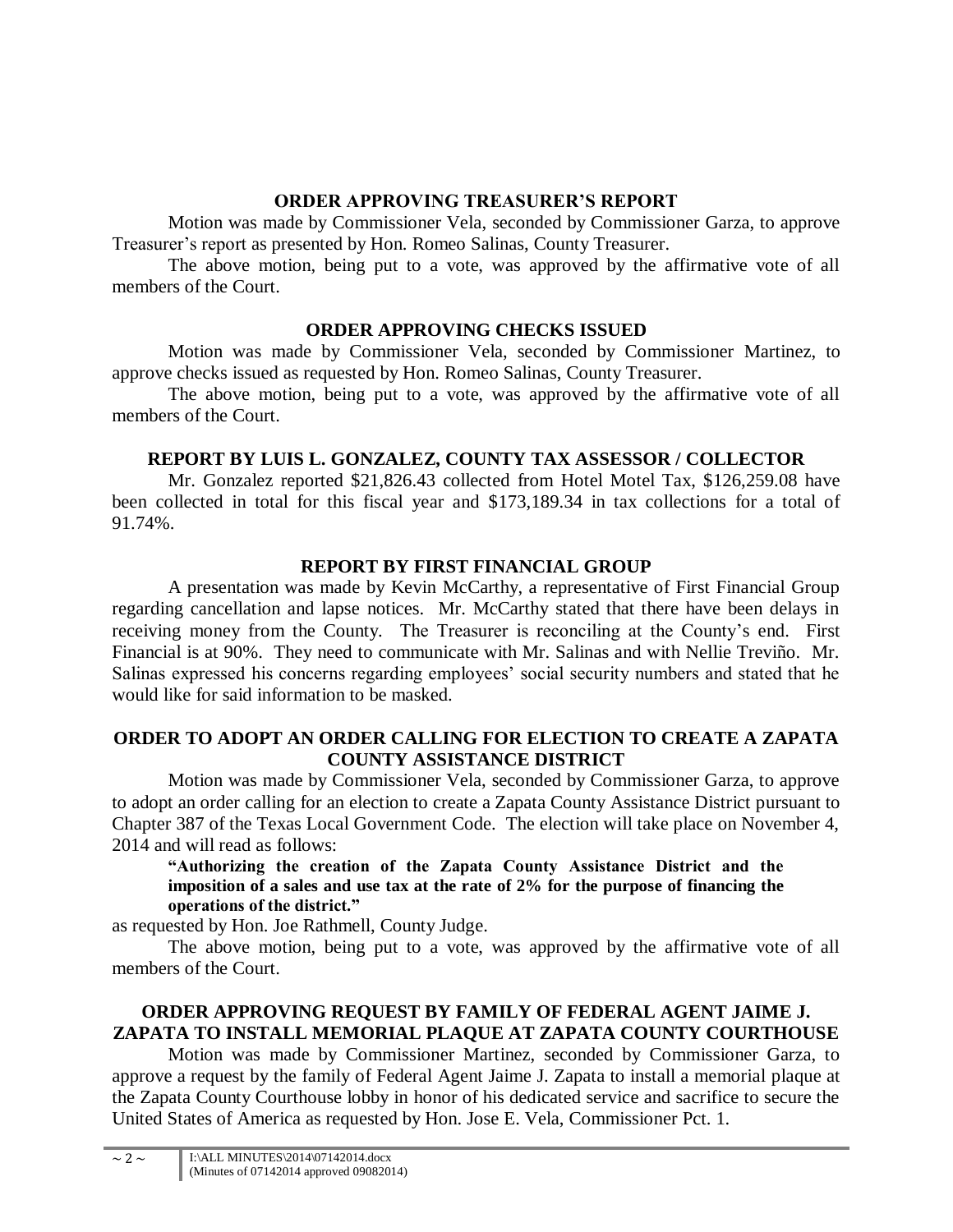## **ORDER APPROVING TREASURER'S REPORT**

Motion was made by Commissioner Vela, seconded by Commissioner Garza, to approve Treasurer's report as presented by Hon. Romeo Salinas, County Treasurer.

The above motion, being put to a vote, was approved by the affirmative vote of all members of the Court.

# **ORDER APPROVING CHECKS ISSUED**

Motion was made by Commissioner Vela, seconded by Commissioner Martinez, to approve checks issued as requested by Hon. Romeo Salinas, County Treasurer.

The above motion, being put to a vote, was approved by the affirmative vote of all members of the Court.

# **REPORT BY LUIS L. GONZALEZ, COUNTY TAX ASSESSOR / COLLECTOR**

Mr. Gonzalez reported \$21,826.43 collected from Hotel Motel Tax, \$126,259.08 have been collected in total for this fiscal year and \$173,189.34 in tax collections for a total of 91.74%.

# **REPORT BY FIRST FINANCIAL GROUP**

A presentation was made by Kevin McCarthy, a representative of First Financial Group regarding cancellation and lapse notices. Mr. McCarthy stated that there have been delays in receiving money from the County. The Treasurer is reconciling at the County's end. First Financial is at 90%. They need to communicate with Mr. Salinas and with Nellie Treviño. Mr. Salinas expressed his concerns regarding employees' social security numbers and stated that he would like for said information to be masked.

## **ORDER TO ADOPT AN ORDER CALLING FOR ELECTION TO CREATE A ZAPATA COUNTY ASSISTANCE DISTRICT**

Motion was made by Commissioner Vela, seconded by Commissioner Garza, to approve to adopt an order calling for an election to create a Zapata County Assistance District pursuant to Chapter 387 of the Texas Local Government Code. The election will take place on November 4, 2014 and will read as follows:

**"Authorizing the creation of the Zapata County Assistance District and the imposition of a sales and use tax at the rate of 2% for the purpose of financing the operations of the district."**

as requested by Hon. Joe Rathmell, County Judge.

The above motion, being put to a vote, was approved by the affirmative vote of all members of the Court.

# **ORDER APPROVING REQUEST BY FAMILY OF FEDERAL AGENT JAIME J. ZAPATA TO INSTALL MEMORIAL PLAQUE AT ZAPATA COUNTY COURTHOUSE**

Motion was made by Commissioner Martinez, seconded by Commissioner Garza, to approve a request by the family of Federal Agent Jaime J. Zapata to install a memorial plaque at the Zapata County Courthouse lobby in honor of his dedicated service and sacrifice to secure the United States of America as requested by Hon. Jose E. Vela, Commissioner Pct. 1.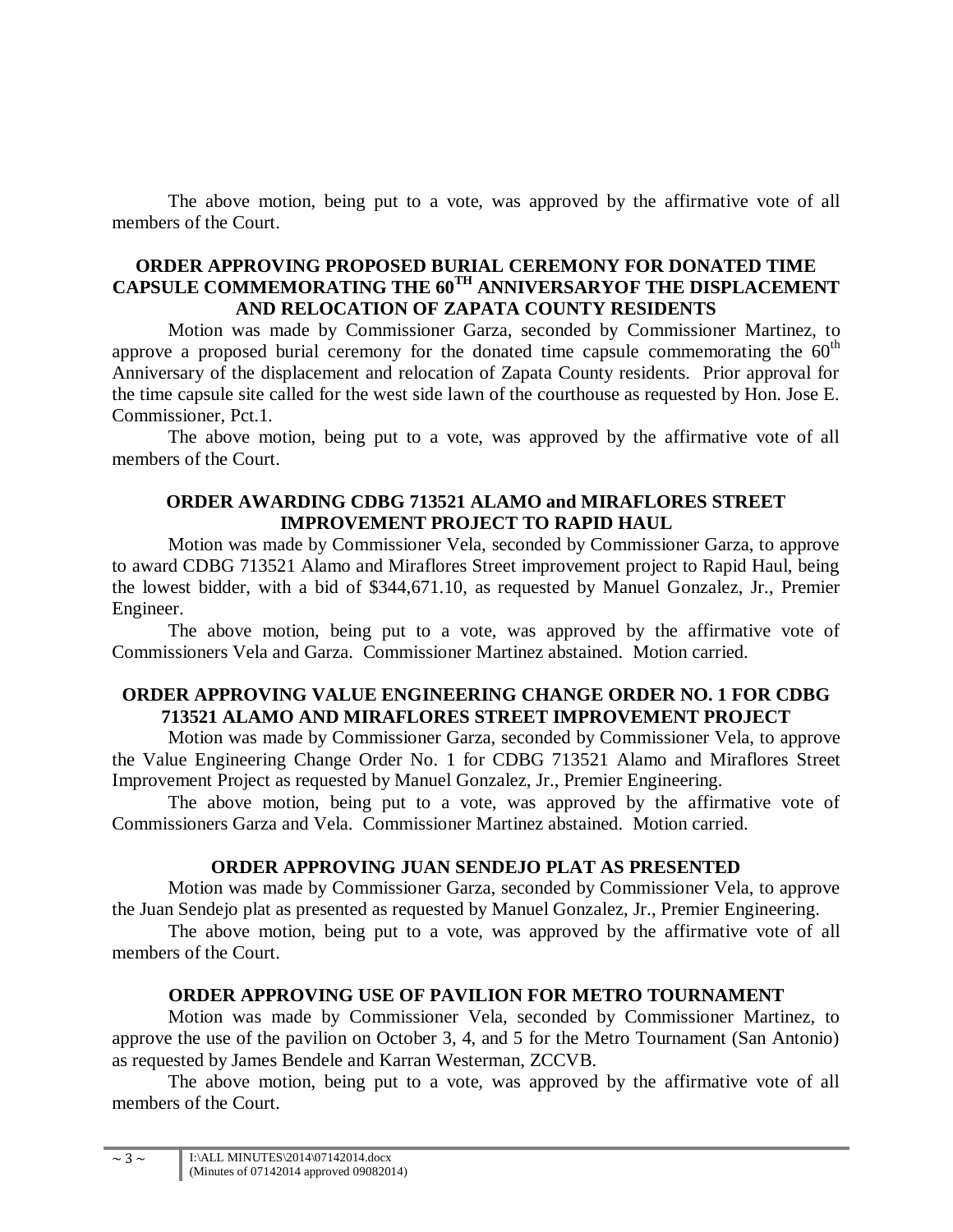The above motion, being put to a vote, was approved by the affirmative vote of all members of the Court.

#### **ORDER APPROVING PROPOSED BURIAL CEREMONY FOR DONATED TIME CAPSULE COMMEMORATING THE 60TH ANNIVERSARYOF THE DISPLACEMENT AND RELOCATION OF ZAPATA COUNTY RESIDENTS**

Motion was made by Commissioner Garza, seconded by Commissioner Martinez, to approve a proposed burial ceremony for the donated time capsule commemorating the  $60<sup>th</sup>$ Anniversary of the displacement and relocation of Zapata County residents. Prior approval for the time capsule site called for the west side lawn of the courthouse as requested by Hon. Jose E. Commissioner, Pct.1.

The above motion, being put to a vote, was approved by the affirmative vote of all members of the Court.

#### **ORDER AWARDING CDBG 713521 ALAMO and MIRAFLORES STREET IMPROVEMENT PROJECT TO RAPID HAUL**

Motion was made by Commissioner Vela, seconded by Commissioner Garza, to approve to award CDBG 713521 Alamo and Miraflores Street improvement project to Rapid Haul, being the lowest bidder, with a bid of \$344,671.10, as requested by Manuel Gonzalez, Jr., Premier Engineer.

The above motion, being put to a vote, was approved by the affirmative vote of Commissioners Vela and Garza. Commissioner Martinez abstained. Motion carried.

## **ORDER APPROVING VALUE ENGINEERING CHANGE ORDER NO. 1 FOR CDBG 713521 ALAMO AND MIRAFLORES STREET IMPROVEMENT PROJECT**

Motion was made by Commissioner Garza, seconded by Commissioner Vela, to approve the Value Engineering Change Order No. 1 for CDBG 713521 Alamo and Miraflores Street Improvement Project as requested by Manuel Gonzalez, Jr., Premier Engineering.

The above motion, being put to a vote, was approved by the affirmative vote of Commissioners Garza and Vela. Commissioner Martinez abstained. Motion carried.

## **ORDER APPROVING JUAN SENDEJO PLAT AS PRESENTED**

Motion was made by Commissioner Garza, seconded by Commissioner Vela, to approve the Juan Sendejo plat as presented as requested by Manuel Gonzalez, Jr., Premier Engineering.

The above motion, being put to a vote, was approved by the affirmative vote of all members of the Court.

## **ORDER APPROVING USE OF PAVILION FOR METRO TOURNAMENT**

Motion was made by Commissioner Vela, seconded by Commissioner Martinez, to approve the use of the pavilion on October 3, 4, and 5 for the Metro Tournament (San Antonio) as requested by James Bendele and Karran Westerman, ZCCVB.

The above motion, being put to a vote, was approved by the affirmative vote of all members of the Court.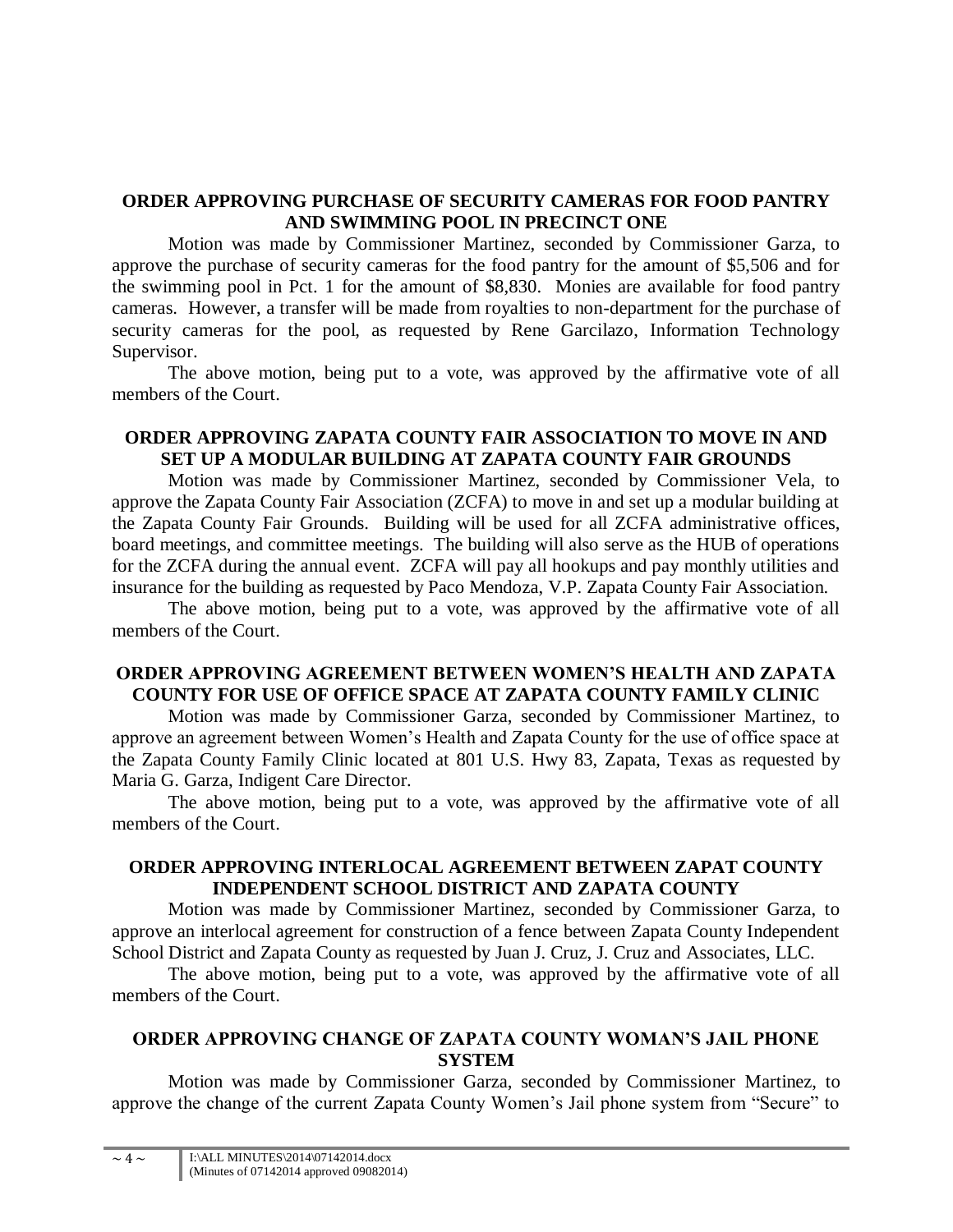#### **ORDER APPROVING PURCHASE OF SECURITY CAMERAS FOR FOOD PANTRY AND SWIMMING POOL IN PRECINCT ONE**

Motion was made by Commissioner Martinez, seconded by Commissioner Garza, to approve the purchase of security cameras for the food pantry for the amount of \$5,506 and for the swimming pool in Pct. 1 for the amount of \$8,830. Monies are available for food pantry cameras. However, a transfer will be made from royalties to non-department for the purchase of security cameras for the pool, as requested by Rene Garcilazo, Information Technology Supervisor.

The above motion, being put to a vote, was approved by the affirmative vote of all members of the Court.

### **ORDER APPROVING ZAPATA COUNTY FAIR ASSOCIATION TO MOVE IN AND SET UP A MODULAR BUILDING AT ZAPATA COUNTY FAIR GROUNDS**

Motion was made by Commissioner Martinez, seconded by Commissioner Vela, to approve the Zapata County Fair Association (ZCFA) to move in and set up a modular building at the Zapata County Fair Grounds. Building will be used for all ZCFA administrative offices, board meetings, and committee meetings. The building will also serve as the HUB of operations for the ZCFA during the annual event. ZCFA will pay all hookups and pay monthly utilities and insurance for the building as requested by Paco Mendoza, V.P. Zapata County Fair Association.

The above motion, being put to a vote, was approved by the affirmative vote of all members of the Court.

## **ORDER APPROVING AGREEMENT BETWEEN WOMEN'S HEALTH AND ZAPATA COUNTY FOR USE OF OFFICE SPACE AT ZAPATA COUNTY FAMILY CLINIC**

Motion was made by Commissioner Garza, seconded by Commissioner Martinez, to approve an agreement between Women's Health and Zapata County for the use of office space at the Zapata County Family Clinic located at 801 U.S. Hwy 83, Zapata, Texas as requested by Maria G. Garza, Indigent Care Director.

The above motion, being put to a vote, was approved by the affirmative vote of all members of the Court.

#### **ORDER APPROVING INTERLOCAL AGREEMENT BETWEEN ZAPAT COUNTY INDEPENDENT SCHOOL DISTRICT AND ZAPATA COUNTY**

Motion was made by Commissioner Martinez, seconded by Commissioner Garza, to approve an interlocal agreement for construction of a fence between Zapata County Independent School District and Zapata County as requested by Juan J. Cruz, J. Cruz and Associates, LLC.

The above motion, being put to a vote, was approved by the affirmative vote of all members of the Court.

#### **ORDER APPROVING CHANGE OF ZAPATA COUNTY WOMAN'S JAIL PHONE SYSTEM**

Motion was made by Commissioner Garza, seconded by Commissioner Martinez, to approve the change of the current Zapata County Women's Jail phone system from "Secure" to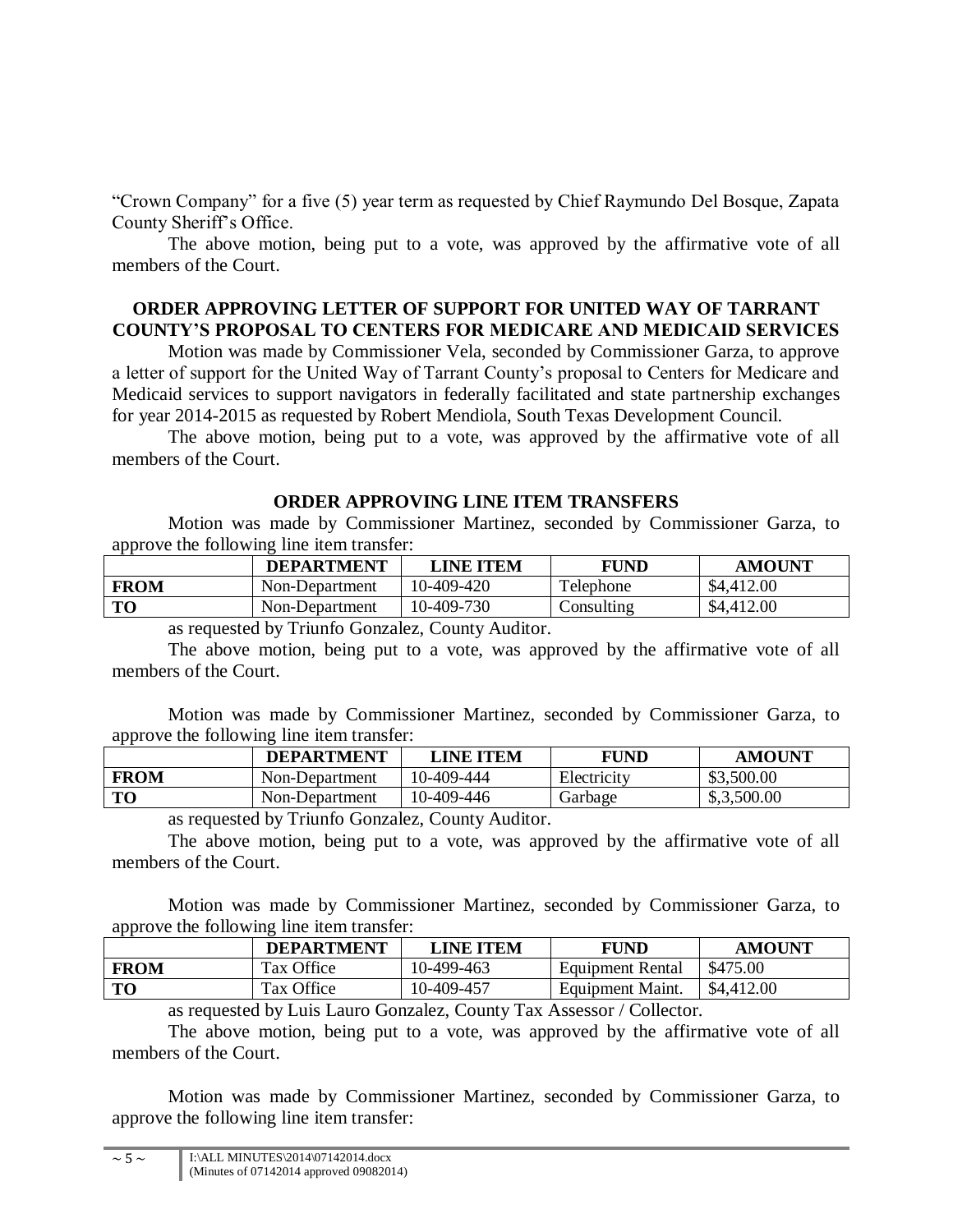"Crown Company" for a five (5) year term as requested by Chief Raymundo Del Bosque, Zapata County Sheriff's Office.

The above motion, being put to a vote, was approved by the affirmative vote of all members of the Court.

#### **ORDER APPROVING LETTER OF SUPPORT FOR UNITED WAY OF TARRANT COUNTY'S PROPOSAL TO CENTERS FOR MEDICARE AND MEDICAID SERVICES**

Motion was made by Commissioner Vela, seconded by Commissioner Garza, to approve a letter of support for the United Way of Tarrant County's proposal to Centers for Medicare and Medicaid services to support navigators in federally facilitated and state partnership exchanges for year 2014-2015 as requested by Robert Mendiola, South Texas Development Council.

The above motion, being put to a vote, was approved by the affirmative vote of all members of the Court.

#### **ORDER APPROVING LINE ITEM TRANSFERS**

Motion was made by Commissioner Martinez, seconded by Commissioner Garza, to approve the following line item transfer:

|             | <b>DEPARTMENT</b> | <b>LINE ITEM</b> | FUND                           | <b>AMOUNT</b> |
|-------------|-------------------|------------------|--------------------------------|---------------|
| <b>FROM</b> | Non-Department    | 10-409-420       | Telephone                      | \$4,412.00    |
| TО          | Non-Department    | 10-409-730       | $\mathop{\mathrm{Consulting}}$ | \$4,412.00    |

as requested by Triunfo Gonzalez, County Auditor.

The above motion, being put to a vote, was approved by the affirmative vote of all members of the Court.

Motion was made by Commissioner Martinez, seconded by Commissioner Garza, to approve the following line item transfer:

|             | <b>DEPARTMENT</b> | <b>LINE ITEM</b> | FUND        | <b>AMOUNT</b> |
|-------------|-------------------|------------------|-------------|---------------|
| <b>FROM</b> | Non-Department    | 10-409-444       | Electricity | \$3,500.00    |
| <b>TO</b>   | Non-Department    | 10-409-446       | Garbage     | \$,3,500.00   |

as requested by Triunfo Gonzalez, County Auditor.

The above motion, being put to a vote, was approved by the affirmative vote of all members of the Court.

Motion was made by Commissioner Martinez, seconded by Commissioner Garza, to approve the following line item transfer:

|             | <b>DEPARTMENT</b> | LINE ITEM  | FUND             | <b>AMOUNT</b> |
|-------------|-------------------|------------|------------------|---------------|
| <b>FROM</b> | Tax Office        | 10-499-463 | Equipment Rental | \$475.00      |
| <b>TO</b>   | Tax Office        | 10-409-457 | Equipment Maint. | \$4,412.00    |

as requested by Luis Lauro Gonzalez, County Tax Assessor / Collector.

The above motion, being put to a vote, was approved by the affirmative vote of all members of the Court.

Motion was made by Commissioner Martinez, seconded by Commissioner Garza, to approve the following line item transfer: